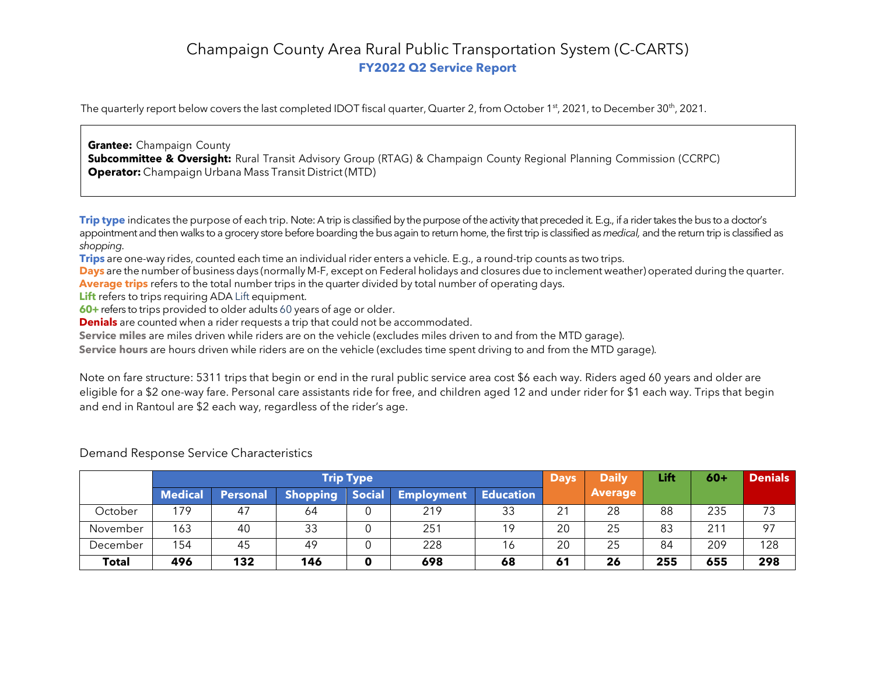# Champaign County Area Rural Public Transportation System (C-CARTS) **FY2022 Q2 Service Report**

The quarterly report below covers the last completed IDOT fiscal quarter, Quarter 2, from October 1<sup>st</sup>, 2021, to December 30<sup>th</sup>, 2021.

**Grantee:** Champaign County **Subcommittee & Oversight:** Rural Transit Advisory Group (RTAG) & Champaign County Regional Planning Commission (CCRPC) **Operator:** Champaign Urbana Mass Transit District (MTD)

**Trip type** indicates the purpose of each trip. Note: A trip is classified by the purpose of the activity that preceded it. E.g., if a rider takes the bus to a doctor's appointment and then walks to a grocery store before boarding the bus again to return home, the first trip is classified as *medical,* and the return trip is classified as *shopping*.

**Trips** are one-way rides, counted each time an individual rider enters a vehicle. E.g., a round-trip counts as two trips.

**Days** are the number of business days (normally M-F, except on Federal holidays and closures due to inclement weather) operated during the quarter. **Average trips** refers to the total number trips in the quarter divided by total number of operating days.

**Lift** refers to trips requiring ADA Lift equipment.

**60+** refers to trips provided to older adults 60 years of age or older.

**Denials** are counted when a rider requests a trip that could not be accommodated.

**Service miles** are miles driven while riders are on the vehicle (excludes miles driven to and from the MTD garage).

**Service hours** are hours driven while riders are on the vehicle (excludes time spent driving to and from the MTD garage).

Note on fare structure: 5311 trips that begin or end in the rural public service area cost \$6 each way. Riders aged 60 years and older are eligible for a \$2 one-way fare. Personal care assistants ride for free, and children aged 12 and under rider for \$1 each way. Trips that begin and end in Rantoul are \$2 each way, regardless of the rider's age.

|              | <b>Trip Type</b> |                 |                 |               |                   |                  | <b>Days</b> | <b>Daily</b>   | Lift | $60+$ | <b>Denials</b> |
|--------------|------------------|-----------------|-----------------|---------------|-------------------|------------------|-------------|----------------|------|-------|----------------|
|              | <b>Medical</b>   | <b>Personal</b> | <b>Shopping</b> | <b>Social</b> | <b>Employment</b> | <b>Education</b> |             | <b>Average</b> |      |       |                |
| October      | 179              | 47              | 64              | 0             | 219               | 33               | 21          | 28             | 88   | 235   | 73             |
| November     | 163              | 40              | 33              |               | 251               | 19               | 20          | 25             | 83   | 21    | 97             |
| December     | 154              | 45              | 49              | $\Omega$      | 228               | 16               | 20          | 25             | 84   | 209   | 128            |
| <b>Total</b> | 496              | 132             | 146             | 0             | 698               | 68               | 61          | 26             | 255  | 655   | 298            |

Demand Response Service Characteristics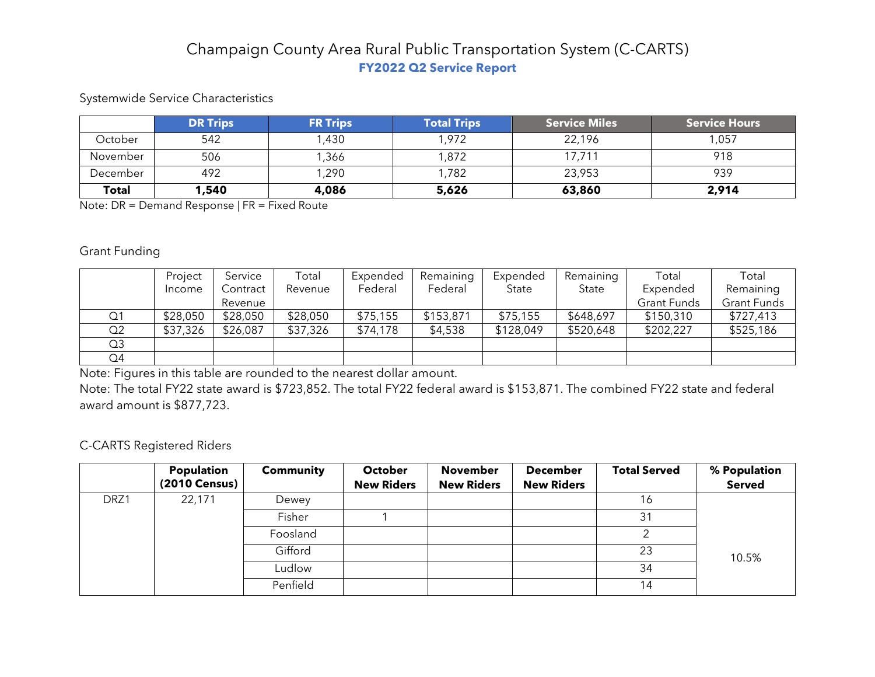# Champaign County Area Rural Public Transportation System (C-CARTS) **FY2022 Q2 Service Report**

## Systemwide Service Characteristics

|              | <b>DR Trips</b> | <b>FR Trips</b> | <b>Total Trips</b> | <b>Service Miles</b> | <b>Service Hours</b> |
|--------------|-----------------|-----------------|--------------------|----------------------|----------------------|
| October      | 542             | 1,430           | 1,972              | 22,196               | 1,057                |
| November     | 506             | 1,366           | ,872               | 17,711               | 918                  |
| December     | 492             | 1,290           | 1,782              | 23,953               | 939                  |
| <b>Total</b> | 1,540           | 4,086           | 5,626              | 63,860               | 2,914                |

Note: DR = Demand Response | FR = Fixed Route

#### Grant Funding

|    | Project  | Service  | Total    | Expended | Remaining | Expended  | Remaining | Total              | Total              |
|----|----------|----------|----------|----------|-----------|-----------|-----------|--------------------|--------------------|
|    | Income   | Contract | Revenue  | Federal  | Federal   | State     | State     | Expended           | Remaining          |
|    |          | Revenue  |          |          |           |           |           | <b>Grant Funds</b> | <b>Grant Funds</b> |
| Q1 | \$28,050 | \$28,050 | \$28,050 | \$75,155 | \$153,871 | \$75,155  | \$648,697 | \$150,310          | \$727,413          |
| Q2 | \$37,326 | \$26,087 | \$37,326 | \$74,178 | \$4,538   | \$128,049 | \$520,648 | \$202,227          | \$525,186          |
| Q3 |          |          |          |          |           |           |           |                    |                    |
| Q4 |          |          |          |          |           |           |           |                    |                    |

Note: Figures in this table are rounded to the nearest dollar amount.

Note: The total FY22 state award is \$723,852. The total FY22 federal award is \$153,871. The combined FY22 state and federal award amount is \$877,723.

## C-CARTS Registered Riders

|      | Population<br>(2010 Census) | <b>Community</b> | <b>October</b><br><b>New Riders</b> | <b>November</b><br><b>New Riders</b> | <b>December</b><br><b>New Riders</b> | <b>Total Served</b> | % Population<br><b>Served</b> |
|------|-----------------------------|------------------|-------------------------------------|--------------------------------------|--------------------------------------|---------------------|-------------------------------|
|      |                             |                  |                                     |                                      |                                      |                     |                               |
| DRZ1 | 22,171                      | Dewey            |                                     |                                      |                                      | 16                  |                               |
|      |                             | Fisher           |                                     |                                      |                                      | 31                  |                               |
|      |                             | Foosland         |                                     |                                      |                                      |                     |                               |
|      |                             | Gifford          |                                     |                                      |                                      | 23                  | 10.5%                         |
|      |                             | Ludlow           |                                     |                                      |                                      | 34                  |                               |
|      |                             | Penfield         |                                     |                                      |                                      | 14                  |                               |